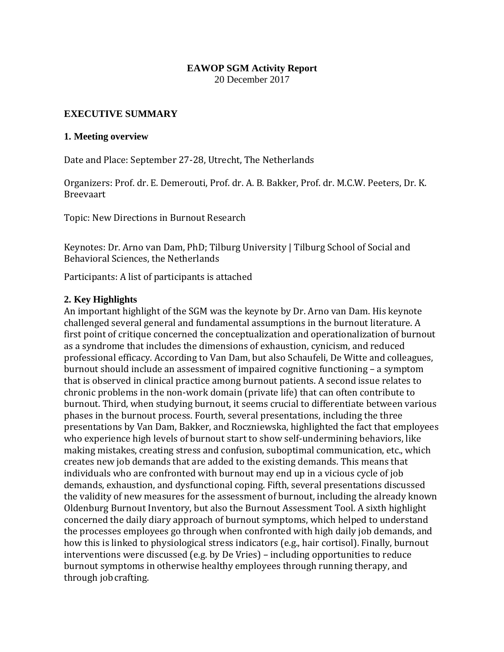## **EAWOP SGM Activity Report**

20 December 2017

## **EXECUTIVE SUMMARY**

#### **1. Meeting overview**

Date and Place: September 27-28, Utrecht, The Netherlands

Organizers: Prof. dr. E. Demerouti, Prof. dr. A. B. Bakker, Prof. dr. M.C.W. Peeters, Dr. K. Breevaart

Topic: New Directions in Burnout Research

Keynotes: Dr. Arno van Dam, PhD; Tilburg University | Tilburg School of Social and Behavioral Sciences, the Netherlands

Participants: A list of participants is attached

## **2. Key Highlights**

An important highlight of the SGM was the keynote by Dr. Arno van Dam. His keynote challenged several general and fundamental assumptions in the burnout literature. A first point of critique concerned the conceptualization and operationalization of burnout as a syndrome that includes the dimensions of exhaustion, cynicism, and reduced professional efficacy. According to Van Dam, but also Schaufeli, De Witte and colleagues, burnout should include an assessment of impaired cognitive functioning – a symptom that is observed in clinical practice among burnout patients. A second issue relates to chronic problems in the non-work domain (private life) that can often contribute to burnout. Third, when studying burnout, it seems crucial to differentiate between various phases in the burnout process. Fourth, several presentations, including the three presentations by Van Dam, Bakker, and Roczniewska, highlighted the fact that employees who experience high levels of burnout start to show self-undermining behaviors, like making mistakes, creating stress and confusion, suboptimal communication, etc., which creates new job demands that are added to the existing demands. This means that individuals who are confronted with burnout may end up in a vicious cycle of job demands, exhaustion, and dysfunctional coping. Fifth, several presentations discussed the validity of new measures for the assessment of burnout, including the already known Oldenburg Burnout Inventory, but also the Burnout Assessment Tool. A sixth highlight concerned the daily diary approach of burnout symptoms, which helped to understand the processes employees go through when confronted with high daily job demands, and how this is linked to physiological stress indicators (e.g., hair cortisol). Finally, burnout interventions were discussed (e.g. by De Vries) – including opportunities to reduce burnout symptoms in otherwise healthy employees through running therapy, and through jobcrafting.